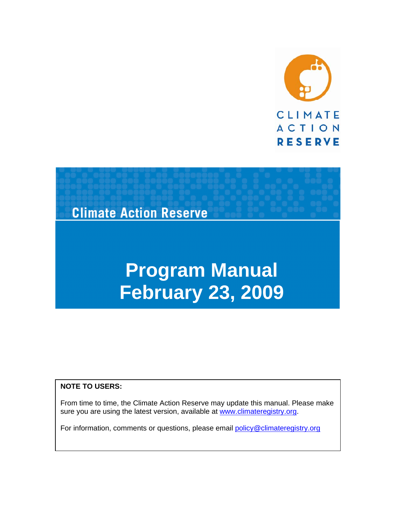



#### **NOTE TO USERS:**

From time to time, the Climate Action Reserve may update this manual. Please make sure you are using the latest version, available at www.climateregistry.org.

For information, comments or questions, please email policy@climateregistry.org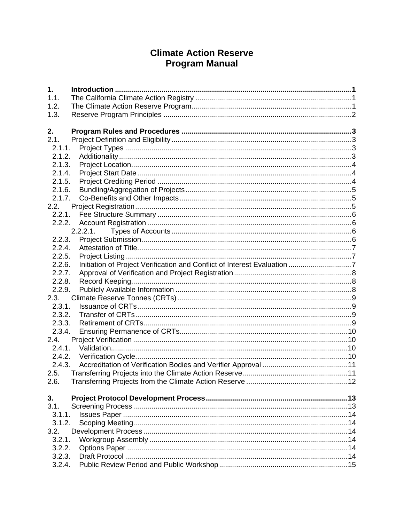# **Climate Action Reserve Program Manual**

| 1.     |             |  |
|--------|-------------|--|
| 1.1.   |             |  |
| 1.2.   |             |  |
| 1.3.   |             |  |
|        |             |  |
| 2.     |             |  |
| 2.1.   |             |  |
| 2.1.1. |             |  |
| 2.1.2. |             |  |
| 2.1.3. |             |  |
| 2.1.4. |             |  |
| 2.1.5. |             |  |
| 2.1.6. |             |  |
| 2.1.7. |             |  |
| 2.2.   |             |  |
| 2.2.1. |             |  |
| 2.2.2. |             |  |
|        | $2.2.2.1$ . |  |
| 2.2.3. |             |  |
| 2.2.4. |             |  |
| 2.2.5. |             |  |
| 2.2.6. |             |  |
| 2.2.7. |             |  |
| 2.2.8. |             |  |
| 2.2.9. |             |  |
| 2.3.   |             |  |
| 2.3.1. |             |  |
| 2.3.2. |             |  |
| 2.3.3. |             |  |
| 2.3.4. |             |  |
| 2.4.   |             |  |
| 2.4.1. |             |  |
| 2.4.2. |             |  |
| 2.4.3. |             |  |
| 2.5.   |             |  |
| 2.6.   |             |  |
|        |             |  |
| 3.     |             |  |
| 3.1.   |             |  |
| 3.1.1. |             |  |
| 3.1.2. |             |  |
| 3.2.   |             |  |
| 3.2.1. |             |  |
| 3.2.2. |             |  |
| 3.2.3. |             |  |
| 3.2.4. |             |  |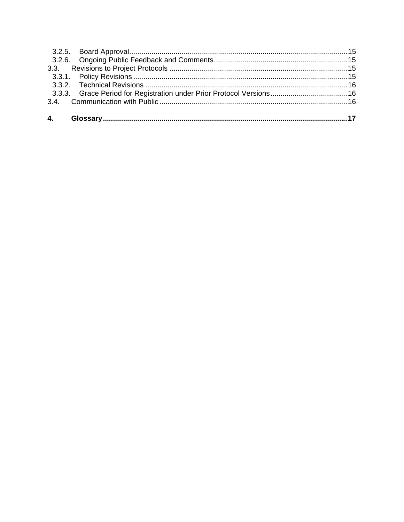| 3.3.3. Grace Period for Registration under Prior Protocol Versions 16 |  |
|-----------------------------------------------------------------------|--|
|                                                                       |  |
|                                                                       |  |
|                                                                       |  |
|                                                                       |  |
|                                                                       |  |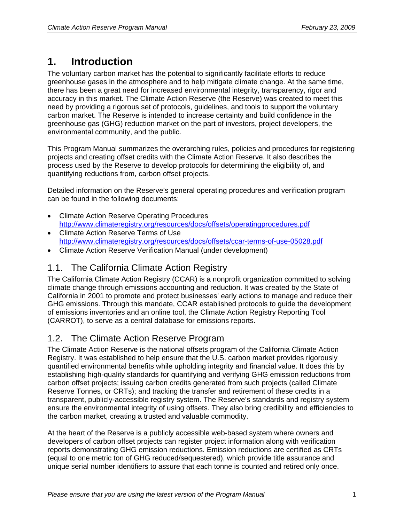# **1. Introduction**

The voluntary carbon market has the potential to significantly facilitate efforts to reduce greenhouse gases in the atmosphere and to help mitigate climate change. At the same time, there has been a great need for increased environmental integrity, transparency, rigor and accuracy in this market. The Climate Action Reserve (the Reserve) was created to meet this need by providing a rigorous set of protocols, guidelines, and tools to support the voluntary carbon market. The Reserve is intended to increase certainty and build confidence in the greenhouse gas (GHG) reduction market on the part of investors, project developers, the environmental community, and the public.

This Program Manual summarizes the overarching rules, policies and procedures for registering projects and creating offset credits with the Climate Action Reserve. It also describes the process used by the Reserve to develop protocols for determining the eligibility of, and quantifying reductions from, carbon offset projects.

Detailed information on the Reserve's general operating procedures and verification program can be found in the following documents:

- Climate Action Reserve Operating Procedures http://www.climateregistry.org/resources/docs/offsets/operatingprocedures.pdf
- Climate Action Reserve Terms of Use http://www.climateregistry.org/resources/docs/offsets/ccar-terms-of-use-05028.pdf
- Climate Action Reserve Verification Manual (under development)

# 1.1. The California Climate Action Registry

The California Climate Action Registry (CCAR) is a nonprofit organization committed to solving climate change through emissions accounting and reduction. It was created by the State of California in 2001 to promote and protect businesses' early actions to manage and reduce their GHG emissions. Through this mandate, CCAR established protocols to guide the development of emissions inventories and an online tool, the Climate Action Registry Reporting Tool (CARROT), to serve as a central database for emissions reports.

## 1.2. The Climate Action Reserve Program

The Climate Action Reserve is the national offsets program of the California Climate Action Registry. It was established to help ensure that the U.S. carbon market provides rigorously quantified environmental benefits while upholding integrity and financial value. It does this by establishing high-quality standards for quantifying and verifying GHG emission reductions from carbon offset projects; issuing carbon credits generated from such projects (called Climate Reserve Tonnes, or CRTs); and tracking the transfer and retirement of these credits in a transparent, publicly-accessible registry system. The Reserve's standards and registry system ensure the environmental integrity of using offsets. They also bring credibility and efficiencies to the carbon market, creating a trusted and valuable commodity.

At the heart of the Reserve is a publicly accessible web-based system where owners and developers of carbon offset projects can register project information along with verification reports demonstrating GHG emission reductions. Emission reductions are certified as CRTs (equal to one metric ton of GHG reduced/sequestered), which provide title assurance and unique serial number identifiers to assure that each tonne is counted and retired only once.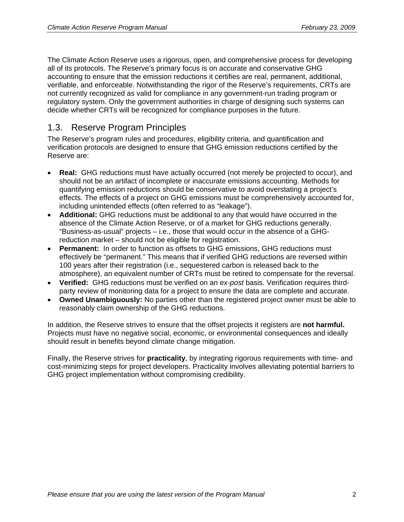The Climate Action Reserve uses a rigorous, open, and comprehensive process for developing all of its protocols. The Reserve's primary focus is on accurate and conservative GHG accounting to ensure that the emission reductions it certifies are real, permanent, additional, verifiable, and enforceable. Notwithstanding the rigor of the Reserve's requirements, CRTs are not currently recognized as valid for compliance in any government-run trading program or regulatory system. Only the government authorities in charge of designing such systems can decide whether CRTs will be recognized for compliance purposes in the future.

# 1.3. Reserve Program Principles

The Reserve's program rules and procedures, eligibility criteria, and quantification and verification protocols are designed to ensure that GHG emission reductions certified by the Reserve are:

- **Real:** GHG reductions must have actually occurred (not merely be projected to occur), and should not be an artifact of incomplete or inaccurate emissions accounting. Methods for quantifying emission reductions should be conservative to avoid overstating a project's effects. The effects of a project on GHG emissions must be comprehensively accounted for, including unintended effects (often referred to as "leakage").
- **Additional:** GHG reductions must be additional to any that would have occurred in the absence of the Climate Action Reserve, or of a market for GHG reductions generally. "Business-as-usual" projects – i.e., those that would occur in the absence of a GHGreduction market – should not be eligible for registration.
- **Permanent:** In order to function as offsets to GHG emissions, GHG reductions must effectively be "permanent." This means that if verified GHG reductions are reversed within 100 years after their registration (i.e., sequestered carbon is released back to the atmosphere), an equivalent number of CRTs must be retired to compensate for the reversal.
- **Verified:** GHG reductions must be verified on an *ex-post* basis. Verification requires thirdparty review of monitoring data for a project to ensure the data are complete and accurate.
- **Owned Unambiguously:** No parties other than the registered project owner must be able to reasonably claim ownership of the GHG reductions.

In addition, the Reserve strives to ensure that the offset projects it registers are **not harmful.** Projects must have no negative social, economic, or environmental consequences and ideally should result in benefits beyond climate change mitigation.

Finally, the Reserve strives for **practicality**, by integrating rigorous requirements with time- and cost-minimizing steps for project developers. Practicality involves alleviating potential barriers to GHG project implementation without compromising credibility.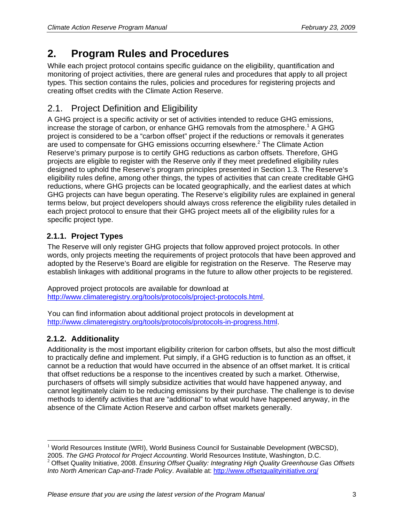# **2. Program Rules and Procedures**

While each project protocol contains specific guidance on the eligibility, quantification and monitoring of project activities, there are general rules and procedures that apply to all project types. This section contains the rules, policies and procedures for registering projects and creating offset credits with the Climate Action Reserve.

# 2.1. Project Definition and Eligibility

A GHG project is a specific activity or set of activities intended to reduce GHG emissions, increase the storage of carbon, or enhance GHG removals from the atmosphere.<sup>1</sup> A GHG project is considered to be a "carbon offset" project if the reductions or removals it generates are used to compensate for GHG emissions occurring elsewhere.<sup>2</sup> The Climate Action Reserve's primary purpose is to certify GHG reductions as carbon offsets. Therefore, GHG projects are eligible to register with the Reserve only if they meet predefined eligibility rules designed to uphold the Reserve's program principles presented in Section 1.3. The Reserve's eligibility rules define, among other things, the types of activities that can create creditable GHG reductions, where GHG projects can be located geographically, and the earliest dates at which GHG projects can have begun operating. The Reserve's eligibility rules are explained in general terms below, but project developers should always cross reference the eligibility rules detailed in each project protocol to ensure that their GHG project meets all of the eligibility rules for a specific project type.

## **2.1.1. Project Types**

The Reserve will only register GHG projects that follow approved project protocols. In other words, only projects meeting the requirements of project protocols that have been approved and adopted by the Reserve's Board are eligible for registration on the Reserve. The Reserve may establish linkages with additional programs in the future to allow other projects to be registered.

Approved project protocols are available for download at http://www.climateregistry.org/tools/protocols/project-protocols.html.

You can find information about additional project protocols in development at http://www.climateregistry.org/tools/protocols/protocols-in-progress.html.

## **2.1.2. Additionality**

Additionality is the most important eligibility criterion for carbon offsets, but also the most difficult to practically define and implement. Put simply, if a GHG reduction is to function as an offset, it cannot be a reduction that would have occurred in the absence of an offset market. It is critical that offset reductions be a response to the incentives created by such a market. Otherwise, purchasers of offsets will simply subsidize activities that would have happened anyway, and cannot legitimately claim to be reducing emissions by their purchase. The challenge is to devise methods to identify activities that are "additional" to what would have happened anyway, in the absence of the Climate Action Reserve and carbon offset markets generally.

 $\overline{a}$ <sup>1</sup> World Resources Institute (WRI), World Business Council for Sustainable Development (WBCSD), 2005. The GHG Protocol for Project Accounting. World Resources Institute, Washington, D.C.

<sup>&</sup>lt;sup>2</sup> Offset Quality Initiative, 2008. Ensuring Offset Quality: Integrating High Quality Greenhouse Gas Offsets *Into North American Cap-and-Trade Policy*. Available at: http://www.offsetqualityinitiative.org/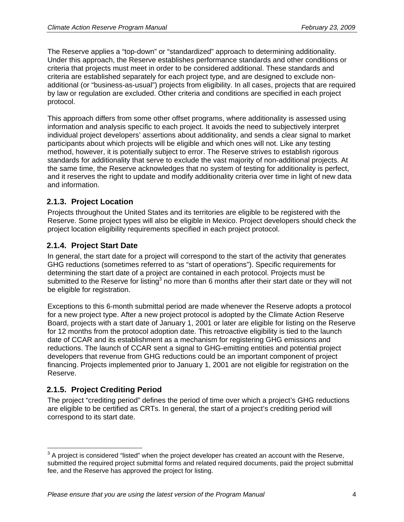The Reserve applies a "top-down" or "standardized" approach to determining additionality. Under this approach, the Reserve establishes performance standards and other conditions or criteria that projects must meet in order to be considered additional. These standards and criteria are established separately for each project type, and are designed to exclude nonadditional (or "business-as-usual") projects from eligibility. In all cases, projects that are required by law or regulation are excluded. Other criteria and conditions are specified in each project protocol.

This approach differs from some other offset programs, where additionality is assessed using information and analysis specific to each project. It avoids the need to subjectively interpret individual project developers' assertions about additionality, and sends a clear signal to market participants about which projects will be eligible and which ones will not. Like any testing method, however, it is potentially subject to error. The Reserve strives to establish rigorous standards for additionality that serve to exclude the vast majority of non-additional projects. At the same time, the Reserve acknowledges that no system of testing for additionality is perfect, and it reserves the right to update and modify additionality criteria over time in light of new data and information.

#### **2.1.3. Project Location**

Projects throughout the United States and its territories are eligible to be registered with the Reserve. Some project types will also be eligible in Mexico. Project developers should check the project location eligibility requirements specified in each project protocol.

#### **2.1.4. Project Start Date**

In general, the start date for a project will correspond to the start of the activity that generates GHG reductions (sometimes referred to as "start of operations"). Specific requirements for determining the start date of a project are contained in each protocol. Projects must be submitted to the Reserve for listing<sup>3</sup> no more than 6 months after their start date or they will not be eligible for registration.

Exceptions to this 6-month submittal period are made whenever the Reserve adopts a protocol for a new project type. After a new project protocol is adopted by the Climate Action Reserve Board, projects with a start date of January 1, 2001 or later are eligible for listing on the Reserve for 12 months from the protocol adoption date. This retroactive eligibility is tied to the launch date of CCAR and its establishment as a mechanism for registering GHG emissions and reductions. The launch of CCAR sent a signal to GHG-emitting entities and potential project developers that revenue from GHG reductions could be an important component of project financing. Projects implemented prior to January 1, 2001 are not eligible for registration on the Reserve.

### **2.1.5. Project Crediting Period**

 $\overline{a}$ 

The project "crediting period" defines the period of time over which a project's GHG reductions are eligible to be certified as CRTs. In general, the start of a project's crediting period will correspond to its start date.

 $3$  A project is considered "listed" when the project developer has created an account with the Reserve, submitted the required project submittal forms and related required documents, paid the project submittal fee, and the Reserve has approved the project for listing.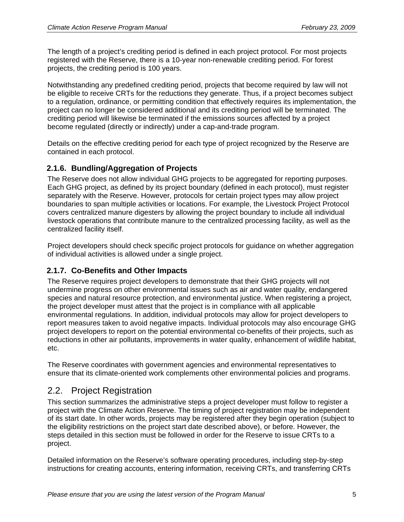The length of a project's crediting period is defined in each project protocol. For most projects registered with the Reserve, there is a 10-year non-renewable crediting period. For forest projects, the crediting period is 100 years.

Notwithstanding any predefined crediting period, projects that become required by law will not be eligible to receive CRTs for the reductions they generate. Thus, if a project becomes subject to a regulation, ordinance, or permitting condition that effectively requires its implementation, the project can no longer be considered additional and its crediting period will be terminated. The crediting period will likewise be terminated if the emissions sources affected by a project become regulated (directly or indirectly) under a cap-and-trade program.

Details on the effective crediting period for each type of project recognized by the Reserve are contained in each protocol.

#### **2.1.6. Bundling/Aggregation of Projects**

The Reserve does not allow individual GHG projects to be aggregated for reporting purposes. Each GHG project, as defined by its project boundary (defined in each protocol), must register separately with the Reserve. However, protocols for certain project types may allow project boundaries to span multiple activities or locations. For example, the Livestock Project Protocol covers centralized manure digesters by allowing the project boundary to include all individual livestock operations that contribute manure to the centralized processing facility, as well as the centralized facility itself.

Project developers should check specific project protocols for guidance on whether aggregation of individual activities is allowed under a single project.

#### **2.1.7. Co-Benefits and Other Impacts**

The Reserve requires project developers to demonstrate that their GHG projects will not undermine progress on other environmental issues such as air and water quality, endangered species and natural resource protection, and environmental justice. When registering a project, the project developer must attest that the project is in compliance with all applicable environmental regulations. In addition, individual protocols may allow for project developers to report measures taken to avoid negative impacts. Individual protocols may also encourage GHG project developers to report on the potential environmental co-benefits of their projects, such as reductions in other air pollutants, improvements in water quality, enhancement of wildlife habitat, etc.

The Reserve coordinates with government agencies and environmental representatives to ensure that its climate-oriented work complements other environmental policies and programs.

### 2.2. Project Registration

This section summarizes the administrative steps a project developer must follow to register a project with the Climate Action Reserve. The timing of project registration may be independent of its start date. In other words, projects may be registered after they begin operation (subject to the eligibility restrictions on the project start date described above), or before. However, the steps detailed in this section must be followed in order for the Reserve to issue CRTs to a project.

Detailed information on the Reserve's software operating procedures, including step-by-step instructions for creating accounts, entering information, receiving CRTs, and transferring CRTs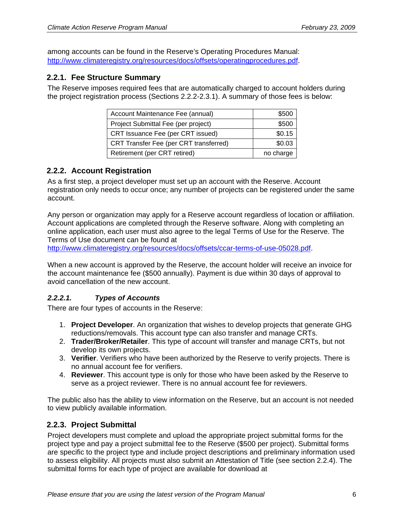among accounts can be found in the Reserve's Operating Procedures Manual: http://www.climateregistry.org/resources/docs/offsets/operatingprocedures.pdf.

#### **2.2.1. Fee Structure Summary**

The Reserve imposes required fees that are automatically charged to account holders during the project registration process (Sections 2.2.2-2.3.1). A summary of those fees is below:

| Account Maintenance Fee (annual)       | \$500     |
|----------------------------------------|-----------|
| Project Submittal Fee (per project)    | \$500     |
| CRT Issuance Fee (per CRT issued)      | \$0.15    |
| CRT Transfer Fee (per CRT transferred) | \$0.03    |
| Retirement (per CRT retired)           | no charge |

#### **2.2.2. Account Registration**

As a first step, a project developer must set up an account with the Reserve. Account registration only needs to occur once; any number of projects can be registered under the same account.

Any person or organization may apply for a Reserve account regardless of location or affiliation. Account applications are completed through the Reserve software. Along with completing an online application, each user must also agree to the legal Terms of Use for the Reserve. The Terms of Use document can be found at

http://www.climateregistry.org/resources/docs/offsets/ccar-terms-of-use-05028.pdf.

When a new account is approved by the Reserve, the account holder will receive an invoice for the account maintenance fee (\$500 annually). Payment is due within 30 days of approval to avoid cancellation of the new account.

#### *2.2.2.1. Types of Accounts*

There are four types of accounts in the Reserve:

- 1. **Project Developer**. An organization that wishes to develop projects that generate GHG reductions/removals. This account type can also transfer and manage CRTs.
- 2. **Trader/Broker/Retailer**. This type of account will transfer and manage CRTs, but not develop its own projects.
- 3. **Verifier**. Verifiers who have been authorized by the Reserve to verify projects. There is no annual account fee for verifiers.
- 4. **Reviewer**. This account type is only for those who have been asked by the Reserve to serve as a project reviewer. There is no annual account fee for reviewers.

The public also has the ability to view information on the Reserve, but an account is not needed to view publicly available information.

#### **2.2.3. Project Submittal**

Project developers must complete and upload the appropriate project submittal forms for the project type and pay a project submittal fee to the Reserve (\$500 per project). Submittal forms are specific to the project type and include project descriptions and preliminary information used to assess eligibility. All projects must also submit an Attestation of Title (see section 2.2.4). The submittal forms for each type of project are available for download at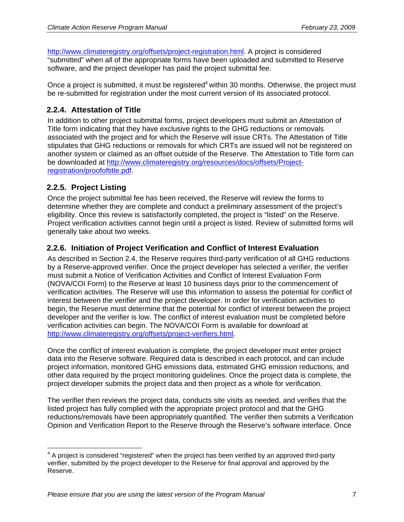http://www.climateregistry.org/offsets/project-registration.html. A project is considered "submitted" when all of the appropriate forms have been uploaded and submitted to Reserve software, and the project developer has paid the project submittal fee.

Once a project is submitted, it must be registered<sup>4</sup> within 30 months. Otherwise, the project must be re-submitted for registration under the most current version of its associated protocol.

#### **2.2.4. Attestation of Title**

In addition to other project submittal forms, project developers must submit an Attestation of Title form indicating that they have exclusive rights to the GHG reductions or removals associated with the project and for which the Reserve will issue CRTs. The Attestation of Title stipulates that GHG reductions or removals for which CRTs are issued will not be registered on another system or claimed as an offset outside of the Reserve. The Attestation to Title form can be downloaded at http://www.climateregistry.org/resources/docs/offsets/Projectregistration/proofoftitle.pdf.

#### **2.2.5. Project Listing**

Once the project submittal fee has been received, the Reserve will review the forms to determine whether they are complete and conduct a preliminary assessment of the project's eligibility. Once this review is satisfactorily completed, the project is "listed" on the Reserve. Project verification activities cannot begin until a project is listed. Review of submitted forms will generally take about two weeks.

#### **2.2.6. Initiation of Project Verification and Conflict of Interest Evaluation**

As described in Section 2.4, the Reserve requires third-party verification of all GHG reductions by a Reserve-approved verifier. Once the project developer has selected a verifier, the verifier must submit a Notice of Verification Activities and Conflict of Interest Evaluation Form (NOVA/COI Form) to the Reserve at least 10 business days prior to the commencement of verification activities. The Reserve will use this information to assess the potential for conflict of interest between the verifier and the project developer. In order for verification activities to begin, the Reserve must determine that the potential for conflict of interest between the project developer and the verifier is low. The conflict of interest evaluation must be completed before verification activities can begin. The NOVA/COI Form is available for download at http://www.climateregistry.org/offsets/project-verifiers.html.

Once the conflict of interest evaluation is complete, the project developer must enter project data into the Reserve software. Required data is described in each protocol, and can include project information, monitored GHG emissions data, estimated GHG emission reductions, and other data required by the project monitoring guidelines. Once the project data is complete, the project developer submits the project data and then project as a whole for verification.

The verifier then reviews the project data, conducts site visits as needed, and verifies that the listed project has fully complied with the appropriate project protocol and that the GHG reductions/removals have been appropriately quantified. The verifier then submits a Verification Opinion and Verification Report to the Reserve through the Reserve's software interface. Once

 $\overline{a}$  $4$  A project is considered "registered" when the project has been verified by an approved third-party verifier, submitted by the project developer to the Reserve for final approval and approved by the Reserve.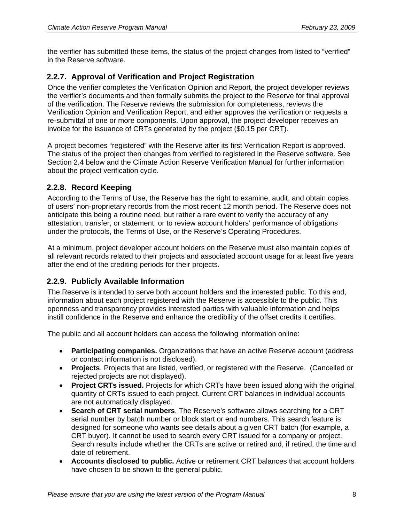the verifier has submitted these items, the status of the project changes from listed to "verified" in the Reserve software.

#### **2.2.7. Approval of Verification and Project Registration**

Once the verifier completes the Verification Opinion and Report, the project developer reviews the verifier's documents and then formally submits the project to the Reserve for final approval of the verification. The Reserve reviews the submission for completeness, reviews the Verification Opinion and Verification Report, and either approves the verification or requests a re-submittal of one or more components. Upon approval, the project developer receives an invoice for the issuance of CRTs generated by the project (\$0.15 per CRT).

A project becomes "registered" with the Reserve after its first Verification Report is approved. The status of the project then changes from verified to registered in the Reserve software. See Section 2.4 below and the Climate Action Reserve Verification Manual for further information about the project verification cycle.

#### **2.2.8. Record Keeping**

According to the Terms of Use, the Reserve has the right to examine, audit, and obtain copies of users' non-proprietary records from the most recent 12 month period. The Reserve does not anticipate this being a routine need, but rather a rare event to verify the accuracy of any attestation, transfer, or statement, or to review account holders' performance of obligations under the protocols, the Terms of Use, or the Reserve's Operating Procedures.

At a minimum, project developer account holders on the Reserve must also maintain copies of all relevant records related to their projects and associated account usage for at least five years after the end of the crediting periods for their projects.

#### **2.2.9. Publicly Available Information**

The Reserve is intended to serve both account holders and the interested public. To this end, information about each project registered with the Reserve is accessible to the public. This openness and transparency provides interested parties with valuable information and helps instill confidence in the Reserve and enhance the credibility of the offset credits it certifies.

The public and all account holders can access the following information online:

- **Participating companies.** Organizations that have an active Reserve account (address or contact information is not disclosed).
- **Projects**. Projects that are listed, verified, or registered with the Reserve. (Cancelled or rejected projects are not displayed).
- **Project CRTs issued.** Projects for which CRTs have been issued along with the original quantity of CRTs issued to each project. Current CRT balances in individual accounts are not automatically displayed.
- **Search of CRT serial numbers**. The Reserve's software allows searching for a CRT serial number by batch number or block start or end numbers. This search feature is designed for someone who wants see details about a given CRT batch (for example, a CRT buyer). It cannot be used to search every CRT issued for a company or project. Search results include whether the CRTs are active or retired and, if retired, the time and date of retirement.
- **Accounts disclosed to public.** Active or retirement CRT balances that account holders have chosen to be shown to the general public.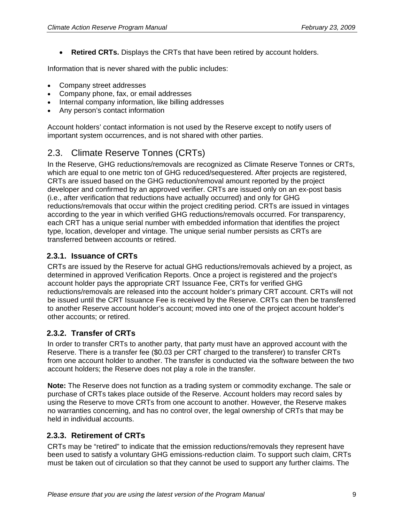• **Retired CRTs.** Displays the CRTs that have been retired by account holders.

Information that is never shared with the public includes:

- Company street addresses
- Company phone, fax, or email addresses
- Internal company information, like billing addresses
- Any person's contact information

Account holders' contact information is not used by the Reserve except to notify users of important system occurrences, and is not shared with other parties.

# 2.3. Climate Reserve Tonnes (CRTs)

In the Reserve, GHG reductions/removals are recognized as Climate Reserve Tonnes or CRTs, which are equal to one metric ton of GHG reduced/sequestered. After projects are registered, CRTs are issued based on the GHG reduction/removal amount reported by the project developer and confirmed by an approved verifier. CRTs are issued only on an ex-post basis (i.e., after verification that reductions have actually occurred) and only for GHG reductions/removals that occur within the project crediting period. CRTs are issued in vintages according to the year in which verified GHG reductions/removals occurred. For transparency, each CRT has a unique serial number with embedded information that identifies the project type, location, developer and vintage. The unique serial number persists as CRTs are transferred between accounts or retired.

#### **2.3.1. Issuance of CRTs**

CRTs are issued by the Reserve for actual GHG reductions/removals achieved by a project, as determined in approved Verification Reports. Once a project is registered and the project's account holder pays the appropriate CRT Issuance Fee, CRTs for verified GHG reductions/removals are released into the account holder's primary CRT account. CRTs will not be issued until the CRT Issuance Fee is received by the Reserve. CRTs can then be transferred to another Reserve account holder's account; moved into one of the project account holder's other accounts; or retired.

### **2.3.2. Transfer of CRTs**

In order to transfer CRTs to another party, that party must have an approved account with the Reserve. There is a transfer fee (\$0.03 per CRT charged to the transferer) to transfer CRTs from one account holder to another. The transfer is conducted via the software between the two account holders; the Reserve does not play a role in the transfer.

**Note:** The Reserve does not function as a trading system or commodity exchange. The sale or purchase of CRTs takes place outside of the Reserve. Account holders may record sales by using the Reserve to move CRTs from one account to another. However, the Reserve makes no warranties concerning, and has no control over, the legal ownership of CRTs that may be held in individual accounts.

#### **2.3.3. Retirement of CRTs**

CRTs may be "retired" to indicate that the emission reductions/removals they represent have been used to satisfy a voluntary GHG emissions-reduction claim. To support such claim, CRTs must be taken out of circulation so that they cannot be used to support any further claims. The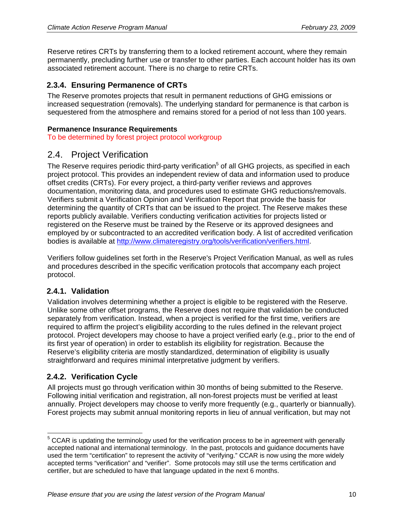Reserve retires CRTs by transferring them to a locked retirement account, where they remain permanently, precluding further use or transfer to other parties. Each account holder has its own associated retirement account. There is no charge to retire CRTs.

#### **2.3.4. Ensuring Permanence of CRTs**

The Reserve promotes projects that result in permanent reductions of GHG emissions or increased sequestration (removals). The underlying standard for permanence is that carbon is sequestered from the atmosphere and remains stored for a period of not less than 100 years.

#### **Permanence Insurance Requirements**

To be determined by forest project protocol workgroup

#### 2.4. Project Verification

The Reserve requires periodic third-party verification<sup>5</sup> of all GHG projects, as specified in each project protocol. This provides an independent review of data and information used to produce offset credits (CRTs). For every project, a third-party verifier reviews and approves documentation, monitoring data, and procedures used to estimate GHG reductions/removals. Verifiers submit a Verification Opinion and Verification Report that provide the basis for determining the quantity of CRTs that can be issued to the project. The Reserve makes these reports publicly available. Verifiers conducting verification activities for projects listed or registered on the Reserve must be trained by the Reserve or its approved designees and employed by or subcontracted to an accredited verification body. A list of accredited verification bodies is available at http://www.climateregistry.org/tools/verification/verifiers.html.

Verifiers follow guidelines set forth in the Reserve's Project Verification Manual, as well as rules and procedures described in the specific verification protocols that accompany each project protocol.

#### **2.4.1. Validation**

Validation involves determining whether a project is eligible to be registered with the Reserve. Unlike some other offset programs, the Reserve does not require that validation be conducted separately from verification. Instead, when a project is verified for the first time, verifiers are required to affirm the project's eligibility according to the rules defined in the relevant project protocol. Project developers may choose to have a project verified early (e.g., prior to the end of its first year of operation) in order to establish its eligibility for registration. Because the Reserve's eligibility criteria are mostly standardized, determination of eligibility is usually straightforward and requires minimal interpretative judgment by verifiers.

#### **2.4.2. Verification Cycle**

All projects must go through verification within 30 months of being submitted to the Reserve. Following initial verification and registration, all non-forest projects must be verified at least annually. Project developers may choose to verify more frequently (e.g., quarterly or biannually). Forest projects may submit annual monitoring reports in lieu of annual verification, but may not

<sup>————————————————————&</sup>lt;br><sup>5</sup> CCAR is updating the terminology used for the verification process to be in agreement with generally accepted national and international terminology. In the past, protocols and guidance documents have used the term "certification" to represent the activity of "verifying." CCAR is now using the more widely accepted terms "verification" and "verifier". Some protocols may still use the terms certification and certifier, but are scheduled to have that language updated in the next 6 months.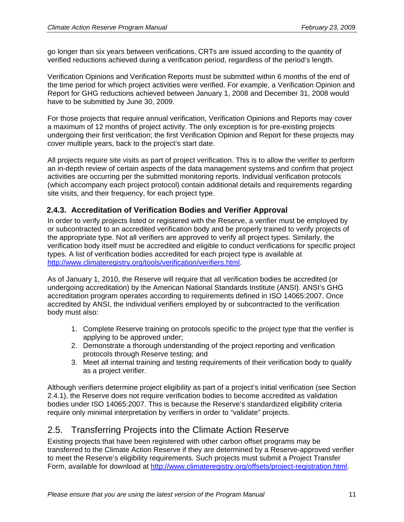go longer than six years between verifications. CRTs are issued according to the quantity of verified reductions achieved during a verification period, regardless of the period's length.

Verification Opinions and Verification Reports must be submitted within 6 months of the end of the time period for which project activities were verified. For example, a Verification Opinion and Report for GHG reductions achieved between January 1, 2008 and December 31, 2008 would have to be submitted by June 30, 2009.

For those projects that require annual verification, Verification Opinions and Reports may cover a maximum of 12 months of project activity. The only exception is for pre-existing projects undergoing their first verification; the first Verification Opinion and Report for these projects may cover multiple years, back to the project's start date.

All projects require site visits as part of project verification. This is to allow the verifier to perform an in-depth review of certain aspects of the data management systems and confirm that project activities are occurring per the submitted monitoring reports. Individual verification protocols (which accompany each project protocol) contain additional details and requirements regarding site visits, and their frequency, for each project type.

#### **2.4.3. Accreditation of Verification Bodies and Verifier Approval**

In order to verify projects listed or registered with the Reserve, a verifier must be employed by or subcontracted to an accredited verification body and be properly trained to verify projects of the appropriate type. Not all verifiers are approved to verify all project types. Similarly, the verification body itself must be accredited and eligible to conduct verifications for specific project types. A list of verification bodies accredited for each project type is available at http://www.climateregistry.org/tools/verification/verifiers.html.

As of January 1, 2010, the Reserve will require that all verification bodies be accredited (or undergoing accreditation) by the American National Standards Institute (ANSI). ANSI's GHG accreditation program operates according to requirements defined in ISO 14065:2007. Once accredited by ANSI, the individual verifiers employed by or subcontracted to the verification body must also:

- 1. Complete Reserve training on protocols specific to the project type that the verifier is applying to be approved under;
- 2. Demonstrate a thorough understanding of the project reporting and verification protocols through Reserve testing; and
- 3. Meet all internal training and testing requirements of their verification body to qualify as a project verifier.

Although verifiers determine project eligibility as part of a project's initial verification (see Section 2.4.1), the Reserve does not require verification bodies to become accredited as validation bodies under ISO 14065:2007. This is because the Reserve's standardized eligibility criteria require only minimal interpretation by verifiers in order to "validate" projects.

### 2.5. Transferring Projects into the Climate Action Reserve

Existing projects that have been registered with other carbon offset programs may be transferred to the Climate Action Reserve if they are determined by a Reserve-approved verifier to meet the Reserve's eligibility requirements. Such projects must submit a Project Transfer Form, available for download at http://www.climateregistry.org/offsets/project-registration.html.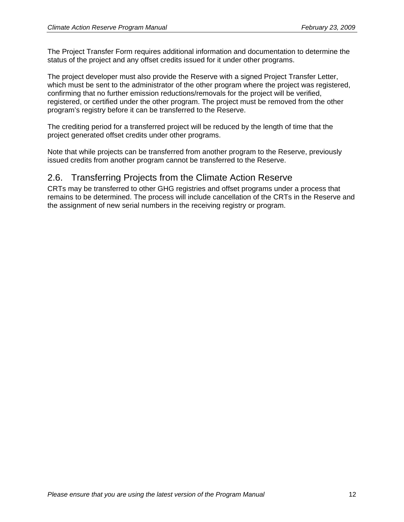The Project Transfer Form requires additional information and documentation to determine the status of the project and any offset credits issued for it under other programs.

The project developer must also provide the Reserve with a signed Project Transfer Letter, which must be sent to the administrator of the other program where the project was registered, confirming that no further emission reductions/removals for the project will be verified, registered, or certified under the other program. The project must be removed from the other program's registry before it can be transferred to the Reserve.

The crediting period for a transferred project will be reduced by the length of time that the project generated offset credits under other programs.

Note that while projects can be transferred from another program to the Reserve, previously issued credits from another program cannot be transferred to the Reserve.

## 2.6. Transferring Projects from the Climate Action Reserve

CRTs may be transferred to other GHG registries and offset programs under a process that remains to be determined. The process will include cancellation of the CRTs in the Reserve and the assignment of new serial numbers in the receiving registry or program.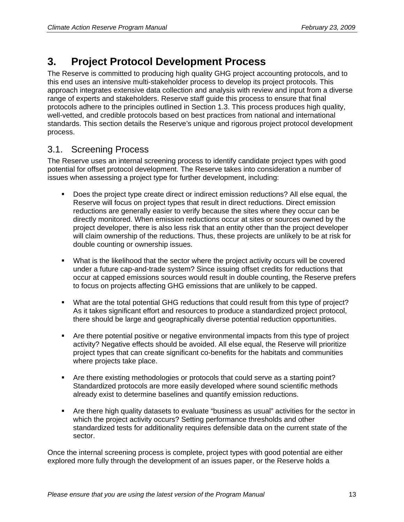# **3. Project Protocol Development Process**

The Reserve is committed to producing high quality GHG project accounting protocols, and to this end uses an intensive multi-stakeholder process to develop its project protocols. This approach integrates extensive data collection and analysis with review and input from a diverse range of experts and stakeholders. Reserve staff guide this process to ensure that final protocols adhere to the principles outlined in Section 1.3. This process produces high quality, well-vetted, and credible protocols based on best practices from national and international standards. This section details the Reserve's unique and rigorous project protocol development process.

# 3.1. Screening Process

The Reserve uses an internal screening process to identify candidate project types with good potential for offset protocol development. The Reserve takes into consideration a number of issues when assessing a project type for further development, including:

- Does the project type create direct or indirect emission reductions? All else equal, the Reserve will focus on project types that result in direct reductions. Direct emission reductions are generally easier to verify because the sites where they occur can be directly monitored. When emission reductions occur at sites or sources owned by the project developer, there is also less risk that an entity other than the project developer will claim ownership of the reductions. Thus, these projects are unlikely to be at risk for double counting or ownership issues.
- What is the likelihood that the sector where the project activity occurs will be covered under a future cap-and-trade system? Since issuing offset credits for reductions that occur at capped emissions sources would result in double counting, the Reserve prefers to focus on projects affecting GHG emissions that are unlikely to be capped.
- What are the total potential GHG reductions that could result from this type of project? As it takes significant effort and resources to produce a standardized project protocol, there should be large and geographically diverse potential reduction opportunities.
- Are there potential positive or negative environmental impacts from this type of project activity? Negative effects should be avoided. All else equal, the Reserve will prioritize project types that can create significant co-benefits for the habitats and communities where projects take place.
- Are there existing methodologies or protocols that could serve as a starting point? Standardized protocols are more easily developed where sound scientific methods already exist to determine baselines and quantify emission reductions.
- Are there high quality datasets to evaluate "business as usual" activities for the sector in which the project activity occurs? Setting performance thresholds and other standardized tests for additionality requires defensible data on the current state of the sector.

Once the internal screening process is complete, project types with good potential are either explored more fully through the development of an issues paper, or the Reserve holds a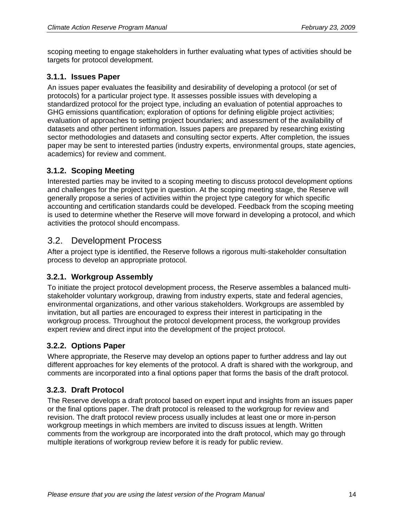scoping meeting to engage stakeholders in further evaluating what types of activities should be targets for protocol development.

#### **3.1.1. Issues Paper**

An issues paper evaluates the feasibility and desirability of developing a protocol (or set of protocols) for a particular project type. It assesses possible issues with developing a standardized protocol for the project type, including an evaluation of potential approaches to GHG emissions quantification; exploration of options for defining eligible project activities; evaluation of approaches to setting project boundaries; and assessment of the availability of datasets and other pertinent information. Issues papers are prepared by researching existing sector methodologies and datasets and consulting sector experts. After completion, the issues paper may be sent to interested parties (industry experts, environmental groups, state agencies, academics) for review and comment.

#### **3.1.2. Scoping Meeting**

Interested parties may be invited to a scoping meeting to discuss protocol development options and challenges for the project type in question. At the scoping meeting stage, the Reserve will generally propose a series of activities within the project type category for which specific accounting and certification standards could be developed. Feedback from the scoping meeting is used to determine whether the Reserve will move forward in developing a protocol, and which activities the protocol should encompass.

#### 3.2. Development Process

After a project type is identified, the Reserve follows a rigorous multi-stakeholder consultation process to develop an appropriate protocol.

#### **3.2.1. Workgroup Assembly**

To initiate the project protocol development process, the Reserve assembles a balanced multistakeholder voluntary workgroup, drawing from industry experts, state and federal agencies, environmental organizations, and other various stakeholders. Workgroups are assembled by invitation, but all parties are encouraged to express their interest in participating in the workgroup process. Throughout the protocol development process, the workgroup provides expert review and direct input into the development of the project protocol.

#### **3.2.2. Options Paper**

Where appropriate, the Reserve may develop an options paper to further address and lay out different approaches for key elements of the protocol. A draft is shared with the workgroup, and comments are incorporated into a final options paper that forms the basis of the draft protocol.

#### **3.2.3. Draft Protocol**

The Reserve develops a draft protocol based on expert input and insights from an issues paper or the final options paper. The draft protocol is released to the workgroup for review and revision. The draft protocol review process usually includes at least one or more in-person workgroup meetings in which members are invited to discuss issues at length. Written comments from the workgroup are incorporated into the draft protocol, which may go through multiple iterations of workgroup review before it is ready for public review.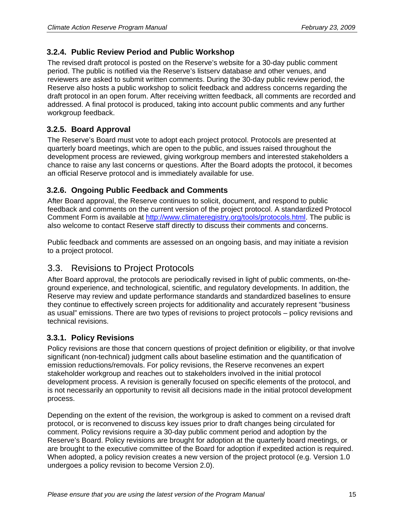#### **3.2.4. Public Review Period and Public Workshop**

The revised draft protocol is posted on the Reserve's website for a 30-day public comment period. The public is notified via the Reserve's listserv database and other venues, and reviewers are asked to submit written comments. During the 30-day public review period, the Reserve also hosts a public workshop to solicit feedback and address concerns regarding the draft protocol in an open forum. After receiving written feedback, all comments are recorded and addressed. A final protocol is produced, taking into account public comments and any further workgroup feedback.

#### **3.2.5. Board Approval**

The Reserve's Board must vote to adopt each project protocol. Protocols are presented at quarterly board meetings, which are open to the public, and issues raised throughout the development process are reviewed, giving workgroup members and interested stakeholders a chance to raise any last concerns or questions. After the Board adopts the protocol, it becomes an official Reserve protocol and is immediately available for use.

#### **3.2.6. Ongoing Public Feedback and Comments**

After Board approval, the Reserve continues to solicit, document, and respond to public feedback and comments on the current version of the project protocol. A standardized Protocol Comment Form is available at http://www.climateregistry.org/tools/protocols.html. The public is also welcome to contact Reserve staff directly to discuss their comments and concerns.

Public feedback and comments are assessed on an ongoing basis, and may initiate a revision to a project protocol.

## 3.3. Revisions to Project Protocols

After Board approval, the protocols are periodically revised in light of public comments, on-theground experience, and technological, scientific, and regulatory developments. In addition, the Reserve may review and update performance standards and standardized baselines to ensure they continue to effectively screen projects for additionality and accurately represent "business as usual" emissions. There are two types of revisions to project protocols – policy revisions and technical revisions.

#### **3.3.1. Policy Revisions**

Policy revisions are those that concern questions of project definition or eligibility, or that involve significant (non-technical) judgment calls about baseline estimation and the quantification of emission reductions/removals. For policy revisions, the Reserve reconvenes an expert stakeholder workgroup and reaches out to stakeholders involved in the initial protocol development process. A revision is generally focused on specific elements of the protocol, and is not necessarily an opportunity to revisit all decisions made in the initial protocol development process.

Depending on the extent of the revision, the workgroup is asked to comment on a revised draft protocol, or is reconvened to discuss key issues prior to draft changes being circulated for comment. Policy revisions require a 30-day public comment period and adoption by the Reserve's Board. Policy revisions are brought for adoption at the quarterly board meetings, or are brought to the executive committee of the Board for adoption if expedited action is required. When adopted, a policy revision creates a new version of the project protocol (e.g. Version 1.0 undergoes a policy revision to become Version 2.0).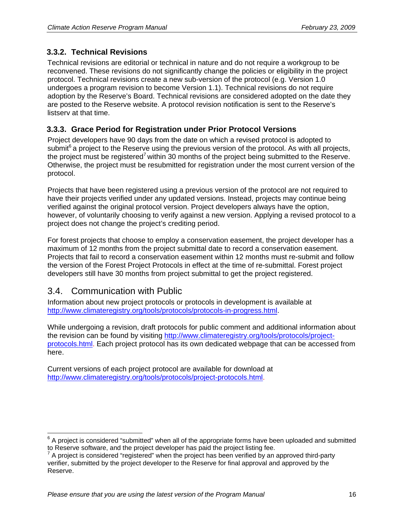#### **3.3.2. Technical Revisions**

Technical revisions are editorial or technical in nature and do not require a workgroup to be reconvened. These revisions do not significantly change the policies or eligibility in the project protocol. Technical revisions create a new sub-version of the protocol (e.g. Version 1.0 undergoes a program revision to become Version 1.1). Technical revisions do not require adoption by the Reserve's Board. Technical revisions are considered adopted on the date they are posted to the Reserve website. A protocol revision notification is sent to the Reserve's listserv at that time.

#### **3.3.3. Grace Period for Registration under Prior Protocol Versions**

Project developers have 90 days from the date on which a revised protocol is adopted to submit $^{6}$  a project to the Reserve using the previous version of the protocol. As with all projects, the project must be registered<sup>7</sup> within 30 months of the project being submitted to the Reserve. Otherwise, the project must be resubmitted for registration under the most current version of the protocol.

Projects that have been registered using a previous version of the protocol are not required to have their projects verified under any updated versions. Instead, projects may continue being verified against the original protocol version. Project developers always have the option, however, of voluntarily choosing to verify against a new version. Applying a revised protocol to a project does not change the project's crediting period.

For forest projects that choose to employ a conservation easement, the project developer has a maximum of 12 months from the project submittal date to record a conservation easement. Projects that fail to record a conservation easement within 12 months must re-submit and follow the version of the Forest Project Protocols in effect at the time of re-submittal. Forest project developers still have 30 months from project submittal to get the project registered.

## 3.4. Communication with Public

Information about new project protocols or protocols in development is available at http://www.climateregistry.org/tools/protocols/protocols-in-progress.html.

While undergoing a revision, draft protocols for public comment and additional information about the revision can be found by visiting http://www.climateregistry.org/tools/protocols/projectprotocols.html. Each project protocol has its own dedicated webpage that can be accessed from here.

Current versions of each project protocol are available for download at http://www.climateregistry.org/tools/protocols/project-protocols.html.

 6 A project is considered "submitted" when all of the appropriate forms have been uploaded and submitted to Reserve software, and the project developer has paid the project listing fee.

 $\frac{7}{4}$  A project is considered "registered" when the project has been verified by an approved third-party verifier, submitted by the project developer to the Reserve for final approval and approved by the Reserve.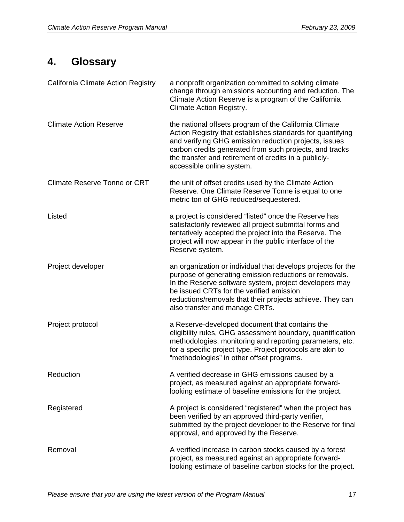# **4. Glossary**

| California Climate Action Registry  | a nonprofit organization committed to solving climate<br>change through emissions accounting and reduction. The<br>Climate Action Reserve is a program of the California<br><b>Climate Action Registry.</b>                                                                                                                    |
|-------------------------------------|--------------------------------------------------------------------------------------------------------------------------------------------------------------------------------------------------------------------------------------------------------------------------------------------------------------------------------|
| <b>Climate Action Reserve</b>       | the national offsets program of the California Climate<br>Action Registry that establishes standards for quantifying<br>and verifying GHG emission reduction projects, issues<br>carbon credits generated from such projects, and tracks<br>the transfer and retirement of credits in a publicly-<br>accessible online system. |
| <b>Climate Reserve Tonne or CRT</b> | the unit of offset credits used by the Climate Action<br>Reserve. One Climate Reserve Tonne is equal to one<br>metric ton of GHG reduced/sequestered.                                                                                                                                                                          |
| Listed                              | a project is considered "listed" once the Reserve has<br>satisfactorily reviewed all project submittal forms and<br>tentatively accepted the project into the Reserve. The<br>project will now appear in the public interface of the<br>Reserve system.                                                                        |
| Project developer                   | an organization or individual that develops projects for the<br>purpose of generating emission reductions or removals.<br>In the Reserve software system, project developers may<br>be issued CRTs for the verified emission<br>reductions/removals that their projects achieve. They can<br>also transfer and manage CRTs.    |
| Project protocol                    | a Reserve-developed document that contains the<br>eligibility rules, GHG assessment boundary, quantification<br>methodologies, monitoring and reporting parameters, etc.<br>for a specific project type. Project protocols are akin to<br>"methodologies" in other offset programs.                                            |
| Reduction                           | A verified decrease in GHG emissions caused by a<br>project, as measured against an appropriate forward-<br>looking estimate of baseline emissions for the project.                                                                                                                                                            |
| Registered                          | A project is considered "registered" when the project has<br>been verified by an approved third-party verifier,<br>submitted by the project developer to the Reserve for final<br>approval, and approved by the Reserve.                                                                                                       |
| Removal                             | A verified increase in carbon stocks caused by a forest<br>project, as measured against an appropriate forward-<br>looking estimate of baseline carbon stocks for the project.                                                                                                                                                 |